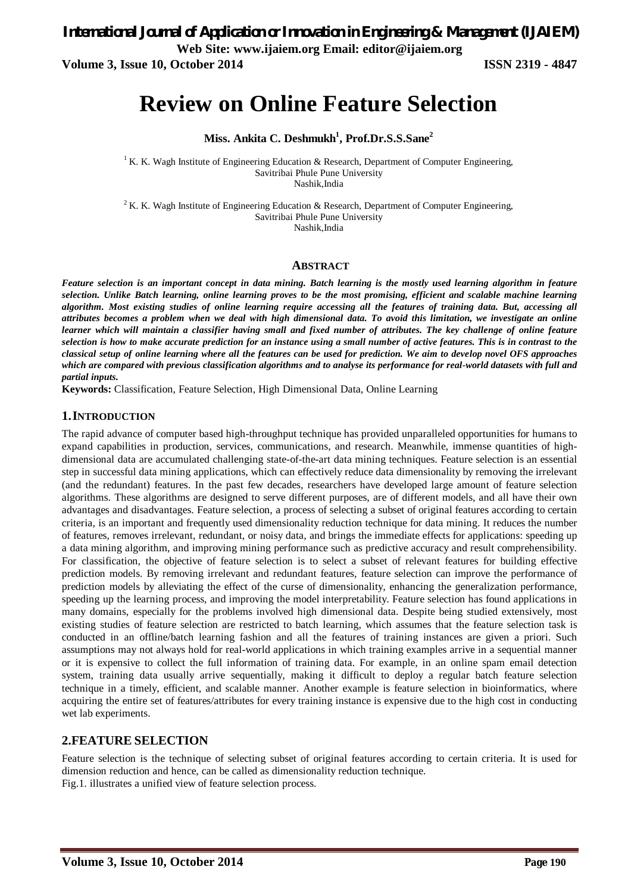*International Journal of Application or Innovation in Engineering & Management (IJAIEM)* **Web Site: www.ijaiem.org Email: editor@ijaiem.org**

**Volume 3, Issue 10, October 2014 ISSN 2319 - 4847**

# **Review on Online Feature Selection**

**Miss. Ankita C. Deshmukh<sup>1</sup> , Prof.Dr.S.S.Sane<sup>2</sup>**

<sup>1</sup> K. K. Wagh Institute of Engineering Education & Research, Department of Computer Engineering, Savitribai Phule Pune University Nashik,India

<sup>2</sup> K. K. Wagh Institute of Engineering Education & Research, Department of Computer Engineering, Savitribai Phule Pune University Nashik,India

### **ABSTRACT**

*Feature selection is an important concept in data mining. Batch learning is the mostly used learning algorithm in feature selection. Unlike Batch learning, online learning proves to be the most promising, efficient and scalable machine learning algorithm. Most existing studies of online learning require accessing all the features of training data. But, accessing all attributes becomes a problem when we deal with high dimensional data. To avoid this limitation, we investigate an online*  learner which will maintain a classifier having small and fixed number of attributes. The key challenge of online feature *selection is how to make accurate prediction for an instance using a small number of active features. This is in contrast to the classical setup of online learning where all the features can be used for prediction. We aim to develop novel OFS approaches which are compared with previous classification algorithms and to analyse its performance for real-world datasets with full and partial inputs.* 

**Keywords:** Classification, Feature Selection, High Dimensional Data, Online Learning

## **1.INTRODUCTION**

The rapid advance of computer based high-throughput technique has provided unparalleled opportunities for humans to expand capabilities in production, services, communications, and research. Meanwhile, immense quantities of highdimensional data are accumulated challenging state-of-the-art data mining techniques. Feature selection is an essential step in successful data mining applications, which can effectively reduce data dimensionality by removing the irrelevant (and the redundant) features. In the past few decades, researchers have developed large amount of feature selection algorithms. These algorithms are designed to serve different purposes, are of different models, and all have their own advantages and disadvantages. Feature selection, a process of selecting a subset of original features according to certain criteria, is an important and frequently used dimensionality reduction technique for data mining. It reduces the number of features, removes irrelevant, redundant, or noisy data, and brings the immediate effects for applications: speeding up a data mining algorithm, and improving mining performance such as predictive accuracy and result comprehensibility. For classification, the objective of feature selection is to select a subset of relevant features for building effective prediction models. By removing irrelevant and redundant features, feature selection can improve the performance of prediction models by alleviating the effect of the curse of dimensionality, enhancing the generalization performance, speeding up the learning process, and improving the model interpretability. Feature selection has found applications in many domains, especially for the problems involved high dimensional data. Despite being studied extensively, most existing studies of feature selection are restricted to batch learning, which assumes that the feature selection task is conducted in an offline/batch learning fashion and all the features of training instances are given a priori. Such assumptions may not always hold for real-world applications in which training examples arrive in a sequential manner or it is expensive to collect the full information of training data. For example, in an online spam email detection system, training data usually arrive sequentially, making it difficult to deploy a regular batch feature selection technique in a timely, efficient, and scalable manner. Another example is feature selection in bioinformatics, where acquiring the entire set of features/attributes for every training instance is expensive due to the high cost in conducting wet lab experiments.

## **2.FEATURE SELECTION**

Feature selection is the technique of selecting subset of original features according to certain criteria. It is used for dimension reduction and hence, can be called as dimensionality reduction technique. Fig.1. illustrates a unified view of feature selection process.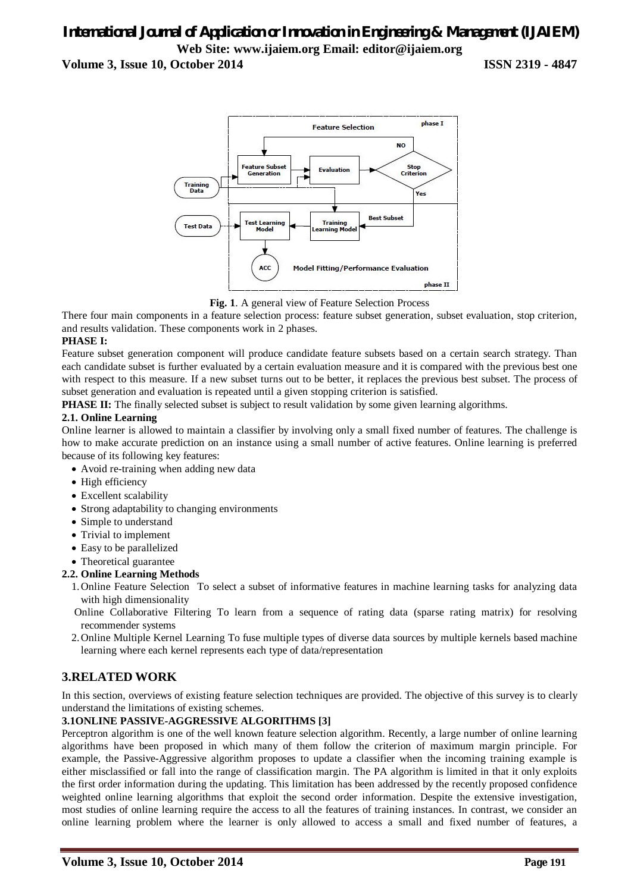# *International Journal of Application or Innovation in Engineering & Management (IJAIEM)* **Web Site: www.ijaiem.org Email: editor@ijaiem.org**

**Volume 3, Issue 10, October 2014 ISSN 2319 - 4847**



**Fig. 1**. A general view of Feature Selection Process

There four main components in a feature selection process: feature subset generation, subset evaluation, stop criterion, and results validation. These components work in 2 phases.

## **PHASE I:**

Feature subset generation component will produce candidate feature subsets based on a certain search strategy. Than each candidate subset is further evaluated by a certain evaluation measure and it is compared with the previous best one with respect to this measure. If a new subset turns out to be better, it replaces the previous best subset. The process of subset generation and evaluation is repeated until a given stopping criterion is satisfied.

**PHASE II:** The finally selected subset is subject to result validation by some given learning algorithms.

### **2.1. Online Learning**

Online learner is allowed to maintain a classifier by involving only a small fixed number of features. The challenge is how to make accurate prediction on an instance using a small number of active features. Online learning is preferred because of its following key features:

- Avoid re-training when adding new data
- High efficiency
- Excellent scalability
- Strong adaptability to changing environments
- Simple to understand
- Trivial to implement
- Easy to be parallelized
- Theoretical guarantee

### **2.2. Online Learning Methods**

- 1.Online Feature Selection To select a subset of informative features in machine learning tasks for analyzing data with high dimensionality
- Online Collaborative Filtering To learn from a sequence of rating data (sparse rating matrix) for resolving recommender systems
- 2.Online Multiple Kernel Learning To fuse multiple types of diverse data sources by multiple kernels based machine learning where each kernel represents each type of data/representation

## **3.RELATED WORK**

In this section, overviews of existing feature selection techniques are provided. The objective of this survey is to clearly understand the limitations of existing schemes.

## **3.1ONLINE PASSIVE-AGGRESSIVE ALGORITHMS [3]**

Perceptron algorithm is one of the well known feature selection algorithm. Recently, a large number of online learning algorithms have been proposed in which many of them follow the criterion of maximum margin principle. For example, the Passive-Aggressive algorithm proposes to update a classifier when the incoming training example is either misclassified or fall into the range of classification margin. The PA algorithm is limited in that it only exploits the first order information during the updating. This limitation has been addressed by the recently proposed confidence weighted online learning algorithms that exploit the second order information. Despite the extensive investigation, most studies of online learning require the access to all the features of training instances. In contrast, we consider an online learning problem where the learner is only allowed to access a small and fixed number of features, a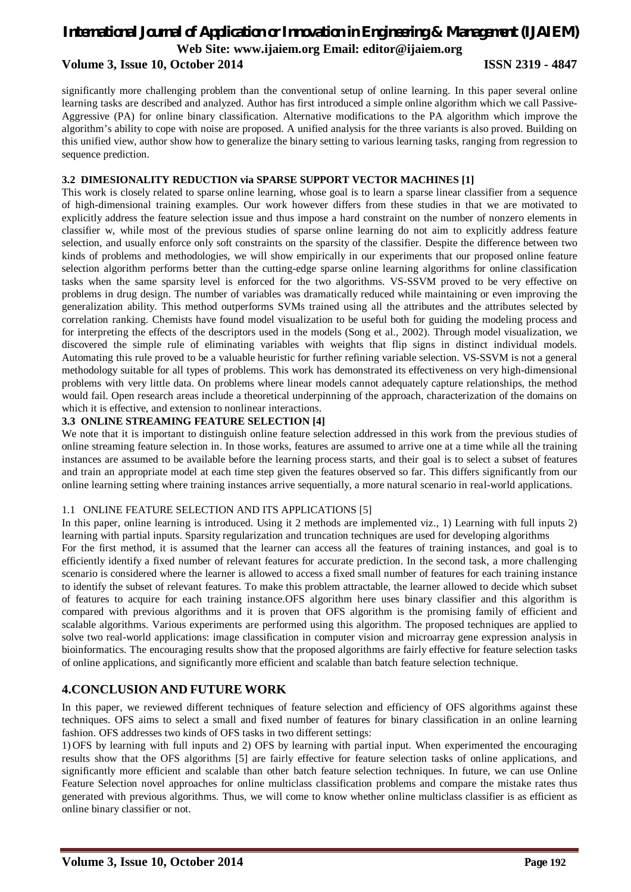## *International Journal of Application or Innovation in Engineering & Management (IJAIEM)* **Web Site: www.ijaiem.org Email: editor@ijaiem.org Volume 3, Issue 10, October 2014 ISSN 2319 - 4847**

significantly more challenging problem than the conventional setup of online learning. In this paper several online learning tasks are described and analyzed. Author has first introduced a simple online algorithm which we call Passive-Aggressive (PA) for online binary classification. Alternative modifications to the PA algorithm which improve the algorithm's ability to cope with noise are proposed. A unified analysis for the three variants is also proved. Building on this unified view, author show how to generalize the binary setting to various learning tasks, ranging from regression to sequence prediction.

#### **3.2 DIMESIONALITY REDUCTION via SPARSE SUPPORT VECTOR MACHINES [1]**

This work is closely related to sparse online learning, whose goal is to learn a sparse linear classifier from a sequence of high-dimensional training examples. Our work however differs from these studies in that we are motivated to explicitly address the feature selection issue and thus impose a hard constraint on the number of nonzero elements in classifier w, while most of the previous studies of sparse online learning do not aim to explicitly address feature selection, and usually enforce only soft constraints on the sparsity of the classifier. Despite the difference between two kinds of problems and methodologies, we will show empirically in our experiments that our proposed online feature selection algorithm performs better than the cutting-edge sparse online learning algorithms for online classification tasks when the same sparsity level is enforced for the two algorithms. VS-SSVM proved to be very effective on problems in drug design. The number of variables was dramatically reduced while maintaining or even improving the generalization ability. This method outperforms SVMs trained using all the attributes and the attributes selected by correlation ranking. Chemists have found model visualization to be useful both for guiding the modeling process and for interpreting the effects of the descriptors used in the models (Song et al., 2002). Through model visualization, we discovered the simple rule of eliminating variables with weights that flip signs in distinct individual models. Automating this rule proved to be a valuable heuristic for further refining variable selection. VS-SSVM is not a general methodology suitable for all types of problems. This work has demonstrated its effectiveness on very high-dimensional problems with very little data. On problems where linear models cannot adequately capture relationships, the method would fail. Open research areas include a theoretical underpinning of the approach, characterization of the domains on which it is effective, and extension to nonlinear interactions.

#### **3.3 ONLINE STREAMING FEATURE SELECTION [4]**

We note that it is important to distinguish online feature selection addressed in this work from the previous studies of online streaming feature selection in. In those works, features are assumed to arrive one at a time while all the training instances are assumed to be available before the learning process starts, and their goal is to select a subset of features and train an appropriate model at each time step given the features observed so far. This differs significantly from our online learning setting where training instances arrive sequentially, a more natural scenario in real-world applications.

#### 1.1 ONLINE FEATURE SELECTION AND ITS APPLICATIONS [5]

In this paper, online learning is introduced. Using it 2 methods are implemented viz., 1) Learning with full inputs 2) learning with partial inputs. Sparsity regularization and truncation techniques are used for developing algorithms

For the first method, it is assumed that the learner can access all the features of training instances, and goal is to efficiently identify a fixed number of relevant features for accurate prediction. In the second task, a more challenging scenario is considered where the learner is allowed to access a fixed small number of features for each training instance to identify the subset of relevant features. To make this problem attractable, the learner allowed to decide which subset of features to acquire for each training instance.OFS algorithm here uses binary classifier and this algorithm is compared with previous algorithms and it is proven that OFS algorithm is the promising family of efficient and scalable algorithms. Various experiments are performed using this algorithm. The proposed techniques are applied to solve two real-world applications: image classification in computer vision and microarray gene expression analysis in bioinformatics. The encouraging results show that the proposed algorithms are fairly effective for feature selection tasks of online applications, and significantly more efficient and scalable than batch feature selection technique.

## **4.CONCLUSION AND FUTURE WORK**

In this paper, we reviewed different techniques of feature selection and efficiency of OFS algorithms against these techniques. OFS aims to select a small and fixed number of features for binary classification in an online learning fashion. OFS addresses two kinds of OFS tasks in two different settings:

1) OFS by learning with full inputs and 2) OFS by learning with partial input. When experimented the encouraging results show that the OFS algorithms [5] are fairly effective for feature selection tasks of online applications, and significantly more efficient and scalable than other batch feature selection techniques. In future, we can use Online Feature Selection novel approaches for online multiclass classification problems and compare the mistake rates thus generated with previous algorithms. Thus, we will come to know whether online multiclass classifier is as efficient as online binary classifier or not.